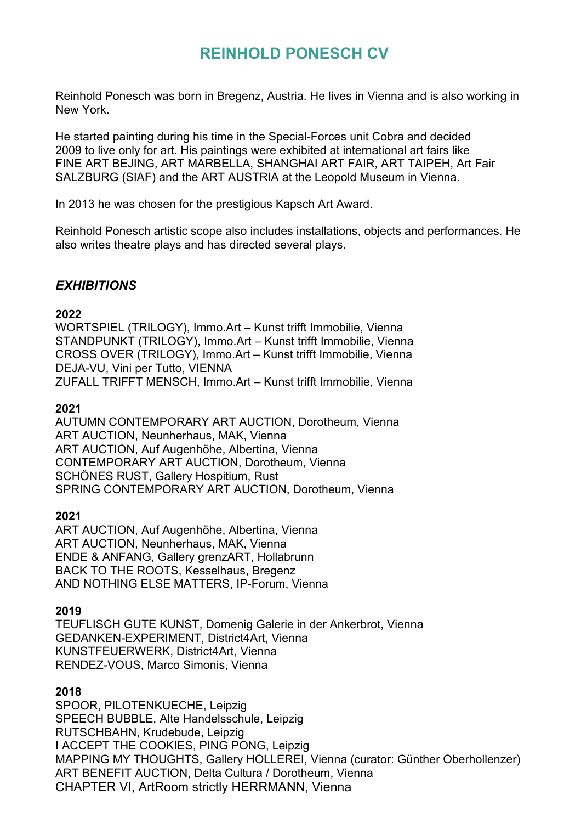# **REINHOLD PONESCH CV**

Reinhold Ponesch was born in Bregenz, Austria. He lives in Vienna and is also working in New York.

He started painting during his time in the Special-Forces unit Cobra and decided 2009 to live only for art. His paintings were exhibited at international art fairs like FINE ART BEJING, ART MARBELLA, SHANGHAI ART FAIR, ART TAIPEH, Art Fair SALZBURG (SIAF) and the ART AUSTRIA at the Leopold Museum in Vienna.

In 2013 he was chosen for the prestigious Kapsch Art Award.

Reinhold Ponesch artistic scope also includes installations, objects and performances. He also writes theatre plays and has directed several plays.

# *EXHIBITIONS*

#### **2022**

WORTSPIEL (TRILOGY), Immo.Art – Kunst trifft Immobilie, Vienna STANDPUNKT (TRILOGY), Immo.Art – Kunst trifft Immobilie, Vienna CROSS OVER (TRILOGY), Immo.Art – Kunst trifft Immobilie, Vienna DEJA-VU, Vini per Tutto, VIENNA ZUFALL TRIFFT MENSCH, Immo.Art – Kunst trifft Immobilie, Vienna

#### **2021**

AUTUMN CONTEMPORARY ART AUCTION, Dorotheum, Vienna ART AUCTION, Neunherhaus, MAK, Vienna ART AUCTION, Auf Augenhöhe, Albertina, Vienna CONTEMPORARY ART AUCTION, Dorotheum, Vienna SCHÖNES RUST, Gallery Hospitium, Rust SPRING CONTEMPORARY ART AUCTION, Dorotheum, Vienna

## **2021**

ART AUCTION, Auf Augenhöhe, Albertina, Vienna ART AUCTION, Neunherhaus, MAK, Vienna ENDE & ANFANG, Gallery grenzART, Hollabrunn BACK TO THE ROOTS, Kesselhaus, Bregenz AND NOTHING ELSE MATTERS, IP-Forum, Vienna

#### **2019**

TEUFLISCH GUTE KUNST, Domenig Galerie in der Ankerbrot, Vienna GEDANKEN-EXPERIMENT, District4Art, Vienna KUNSTFEUERWERK, District4Art, Vienna RENDEZ-VOUS, Marco Simonis, Vienna

#### **2018**

SPOOR, PILOTENKUECHE, Leipzig SPEECH BUBBLE, Alte Handelsschule, Leipzig RUTSCHBAHN, Krudebude, Leipzig I ACCEPT THE COOKIES, PING PONG, Leipzig MAPPING MY THOUGHTS, Gallery HOLLEREI, Vienna (curator: Günther Oberhollenzer) ART BENEFIT AUCTION, Delta Cultura / Dorotheum, Vienna CHAPTER VI, ArtRoom strictly HERRMANN, Vienna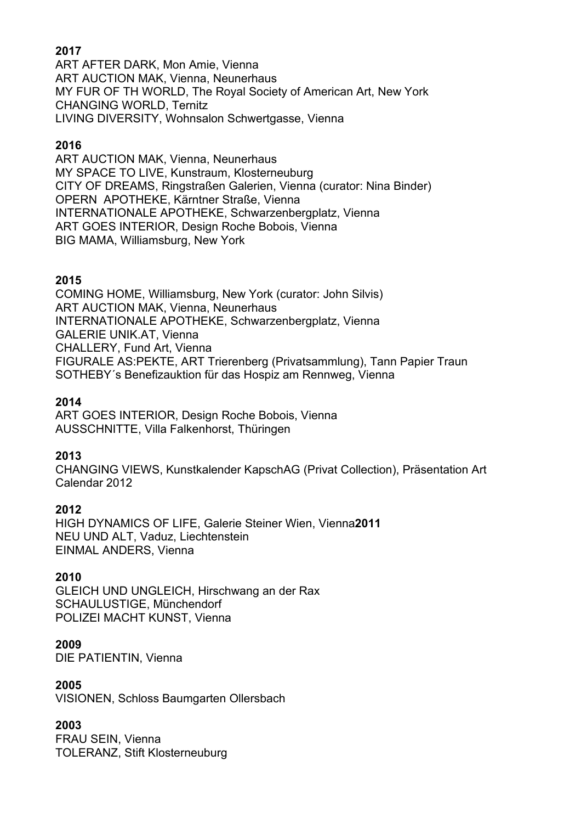# **2017**

ART AFTER DARK, Mon Amie, Vienna ART AUCTION MAK, Vienna, Neunerhaus MY FUR OF TH WORLD, The Royal Society of American Art, New York CHANGING WORLD, Ternitz LIVING DIVERSITY, Wohnsalon Schwertgasse, Vienna

### **2016**

ART AUCTION MAK, Vienna, Neunerhaus MY SPACE TO LIVE, Kunstraum, Klosterneuburg CITY OF DREAMS, Ringstraßen Galerien, Vienna (curator: Nina Binder) OPERN APOTHEKE, Kärntner Straße, Vienna INTERNATIONALE APOTHEKE, Schwarzenbergplatz, Vienna ART GOES INTERIOR, Design Roche Bobois, Vienna BIG MAMA, Williamsburg, New York

#### **2015**

COMING HOME, Williamsburg, New York (curator: John Silvis) ART AUCTION MAK, Vienna, Neunerhaus INTERNATIONALE APOTHEKE, Schwarzenbergplatz, Vienna GALERIE UNIK.AT, Vienna CHALLERY, Fund Art, Vienna FIGURALE AS:PEKTE, ART Trierenberg (Privatsammlung), Tann Papier Traun SOTHEBY´s Benefizauktion für das Hospiz am Rennweg, Vienna

#### **2014**

ART GOES INTERIOR, Design Roche Bobois, Vienna AUSSCHNITTE, Villa Falkenhorst, Thüringen

#### **2013**

CHANGING VIEWS, Kunstkalender KapschAG (Privat Collection), Präsentation Art Calendar 2012

#### **2012**

HIGH DYNAMICS OF LIFE, Galerie Steiner Wien, Vienna**2011** NEU UND ALT, Vaduz, Liechtenstein EINMAL ANDERS, Vienna

#### **2010**

GLEICH UND UNGLEICH, Hirschwang an der Rax SCHAULUSTIGE, Münchendorf POLIZEI MACHT KUNST, Vienna

#### **2009**

DIE PATIENTIN, Vienna

#### **2005**

VISIONEN, Schloss Baumgarten Ollersbach

## **2003**

FRAU SEIN, Vienna TOLERANZ, Stift Klosterneuburg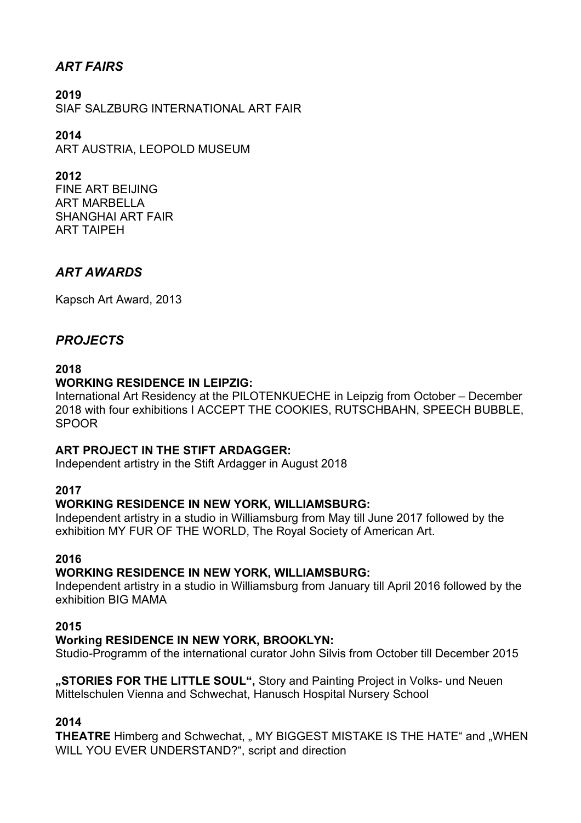# *ART FAIRS*

**2019**  SIAF SALZBURG INTERNATIONAL ART FAIR

**2014** ART AUSTRIA, LEOPOLD MUSEUM

**2012** FINE ART BEIJING ART MARBELLA SHANGHAI ART FAIR ART TAIPEH

# *ART AWARDS*

Kapsch Art Award, 2013

# *PROJECTS*

#### **2018**

## **WORKING RESIDENCE IN LEIPZIG:**

International Art Residency at the PILOTENKUECHE in Leipzig from October – December 2018 with four exhibitions I ACCEPT THE COOKIES, RUTSCHBAHN, SPEECH BUBBLE, SPOOR

#### **ART PROJECT IN THE STIFT ARDAGGER:**

Independent artistry in the Stift Ardagger in August 2018

#### **2017**

#### **WORKING RESIDENCE IN NEW YORK, WILLIAMSBURG:**

Independent artistry in a studio in Williamsburg from May till June 2017 followed by the exhibition MY FUR OF THE WORLD, The Royal Society of American Art.

#### **2016**

#### **WORKING RESIDENCE IN NEW YORK, WILLIAMSBURG:**

Independent artistry in a studio in Williamsburg from January till April 2016 followed by the exhibition BIG MAMA

#### **2015**

#### **Working RESIDENCE IN NEW YORK, BROOKLYN:**

Studio-Programm of the international curator John Silvis from October till December 2015

**"STORIES FOR THE LITTLE SOUL",** Story and Painting Project in Volks- und Neuen Mittelschulen Vienna and Schwechat, Hanusch Hospital Nursery School

## **2014**

**THEATRE** Himberg and Schwechat, " MY BIGGEST MISTAKE IS THE HATE" and "WHEN WILL YOU EVER UNDERSTAND?", script and direction